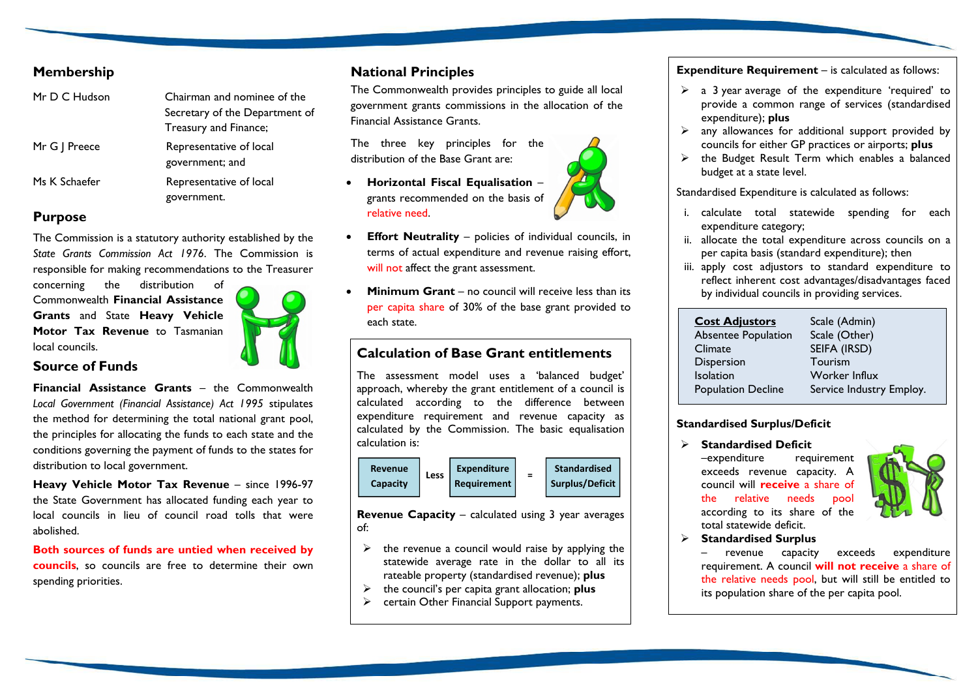## **Membership**

| Mr D C Hudson | Chairman and nominee of the    |
|---------------|--------------------------------|
|               | Secretary of the Department of |
|               | Treasury and Finance;          |
| Mr G   Preece | Representative of local        |
|               | government; and                |
| Ms K Schaefer | Representative of local        |
|               | government.                    |

#### **Purpose**

The Commission is a statutory authority established by the *State Grants Commission Act 1976*. The Commission is responsible for making recommendations to the Treasurer

concerning the distribution of Commonwealth **Financial Assistance Grants** and State **Heavy Vehicle Motor Tax Revenue** to Tasmanian local councils.



#### **Source of Funds**

**Financial Assistance Grants** – the Commonwealth *Local Government (Financial Assistance) Act 1995* stipulates the method for determining the total national grant pool, the principles for allocating the funds to each state and the conditions governing the payment of funds to the states for distribution to local government.

**Heavy Vehicle Motor Tax Revenue** – since 1996-97 the State Government has allocated funding each year to local councils in lieu of council road tolls that were abolished.

**Both sources of funds are untied when received by councils**, so councils are free to determine their own spending priorities.

## **National Principles**

The Commonwealth provides principles to guide all local government grants commissions in the allocation of the Financial Assistance Grants.

The three key principles for the distribution of the Base Grant are:

- **Horizontal Fiscal Equalisation** grants recommended on the basis of relative need.
- **Effort Neutrality** policies of individual councils, in terms of actual expenditure and revenue raising effort, will not affect the grant assessment.
- **Minimum Grant** no council will receive less than its per capita share of 30% of the base grant provided to each state.

# **Calculation of Base Grant entitlements**

The assessment model uses a 'balanced budget' approach, whereby the grant entitlement of a council is calculated according to the difference between expenditure requirement and revenue capacity as calculated by the Commission. The basic equalisation calculation is:



**Revenue Capacity** – calculated using 3 year averages of:

- $\triangleright$  the revenue a council would raise by applying the statewide average rate in the dollar to all its rateable property (standardised revenue); **plus**
- the council's per capita grant allocation; **plus**
- $\triangleright$  certain Other Financial Support payments.

**Expenditure Requirement** – is calculated as follows:

- $\geq$  a 3 year average of the expenditure 'required' to provide a common range of services (standardised expenditure); **plus**
- $\triangleright$  any allowances for additional support provided by councils for either GP practices or airports; **plus**
- $\triangleright$  the Budget Result Term which enables a balanced budget at a state level.

Standardised Expenditure is calculated as follows:

- i. calculate total statewide spending for each expenditure category;
- ii. allocate the total expenditure across councils on a per capita basis (standard expenditure); then
- iii. apply cost adjustors to standard expenditure to reflect inherent cost advantages/disadvantages faced by individual councils in providing services.

| <b>Cost Adjustors</b>     | Scale (Admin)            |
|---------------------------|--------------------------|
| Absentee Population       | Scale (Other)            |
| Climate                   | SEIFA (IRSD)             |
| <b>Dispersion</b>         | Tourism                  |
| <b>Isolation</b>          | Worker Influx            |
| <b>Population Decline</b> | Service Industry Employ. |

#### **Standardised Surplus/Deficit**

 **Standardised Deficit** –expenditure requirement exceeds revenue capacity. A council will **receive** a share of the relative needs pool according to its share of the total statewide deficit.



**Standardised Surplus**

– revenue capacity exceeds expenditure requirement. A council **will not receive** a share of the relative needs pool, but will still be entitled to its population share of the per capita pool.